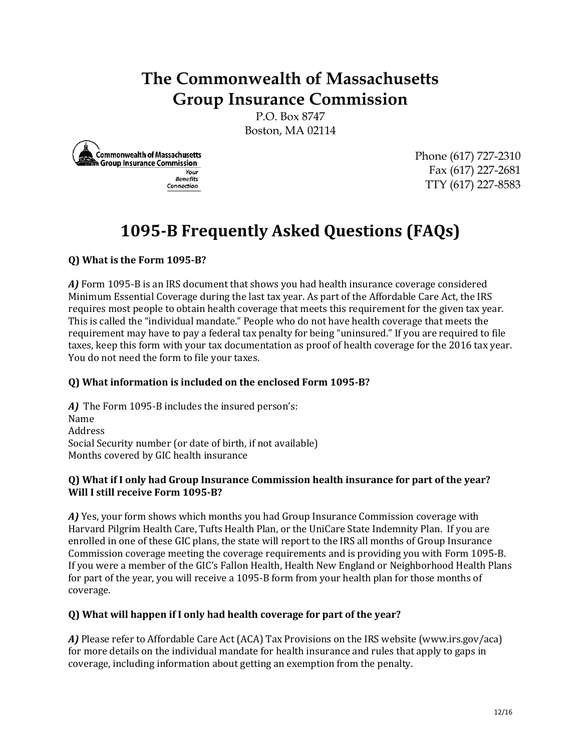## **The Commonwealth of Massachusetts Group Insurance Commission**

P.O. Box 8747 Boston, MA 02114



Phone (617) 727-2310 Fax (617) 227-2681 TTY (617) 227-8583

# **1095-B Frequently Asked Questions (FAQs)**

## **Q) What is the Form 1095-B?**

*A)* Form 1095-B is an IRS document that shows you had health insurance coverage considered Minimum Essential Coverage during the last tax year. As part of the Affordable Care Act, the IRS requires most people to obtain health coverage that meets this requirement for the given tax year. This is called the "individual mandate." People who do not have health coverage that meets the requirement may have to pay a federal tax penalty for being "uninsured." If you are required to file taxes, keep this form with your tax documentation as proof of health coverage for the 2016 tax year. You do not need the form to file your taxes.

#### **Q) What information is included on the enclosed Form 1095-B?**

*A)* The Form 1095-B includes the insured person's: Name Address Social Security number (or date of birth, if not available) Months covered by GIC health insurance

#### **Q) What if I only had Group Insurance Commission health insurance for part of the year? Will I still receive Form 1095-B?**

*A)* Yes, your form shows which months you had Group Insurance Commission coverage with Harvard Pilgrim Health Care, Tufts Health Plan, or the UniCare State Indemnity Plan. If you are enrolled in one of these GIC plans, the state will report to the IRS all months of Group Insurance Commission coverage meeting the coverage requirements and is providing you with Form 1095-B. If you were a member of the GIC's Fallon Health, Health New England or Neighborhood Health Plans for part of the year, you will receive a 1095-B form from your health plan for those months of coverage.

#### **Q) What will happen if I only had health coverage for part of the year?**

*A)* Please refer t[o Affordable Care Act \(ACA\) Tax Provisions](http://www.irs.gov/ACA) on the IRS website (www.irs.gov/aca) for more details on the individual mandate for health insurance and rules that apply to gaps in coverage, including information about getting an exemption from the penalty.